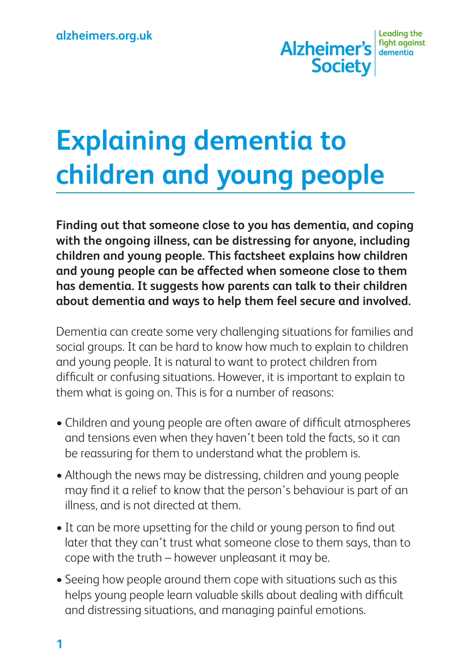

# **Explaining dementia to children and young people**

**Finding out that someone close to you has dementia, and coping with the ongoing illness, can be distressing for anyone, including children and young people. This factsheet explains how children and young people can be affected when someone close to them has dementia. It suggests how parents can talk to their children about dementia and ways to help them feel secure and involved.**

Dementia can create some very challenging situations for families and social groups. It can be hard to know how much to explain to children and young people. It is natural to want to protect children from difficult or confusing situations. However, it is important to explain to them what is going on. This is for a number of reasons:

- Children and young people are often aware of difficult atmospheres and tensions even when they haven't been told the facts, so it can be reassuring for them to understand what the problem is.
- Although the news may be distressing, children and young people may find it a relief to know that the person's behaviour is part of an illness, and is not directed at them.
- It can be more upsetting for the child or young person to find out later that they can't trust what someone close to them says, than to cope with the truth – however unpleasant it may be.
- Seeing how people around them cope with situations such as this helps young people learn valuable skills about dealing with difficult and distressing situations, and managing painful emotions.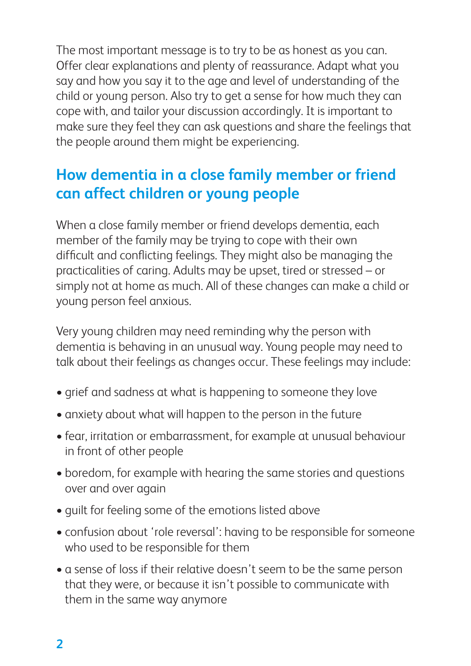The most important message is to try to be as honest as you can. Offer clear explanations and plenty of reassurance. Adapt what you say and how you say it to the age and level of understanding of the child or young person. Also try to get a sense for how much they can cope with, and tailor your discussion accordingly. It is important to make sure they feel they can ask questions and share the feelings that the people around them might be experiencing.

# **How dementia in a close family member or friend can affect children or young people**

When a close family member or friend develops dementia, each member of the family may be trying to cope with their own difficult and conflicting feelings. They might also be managing the practicalities of caring. Adults may be upset, tired or stressed – or simply not at home as much. All of these changes can make a child or young person feel anxious.

Very young children may need reminding why the person with dementia is behaving in an unusual way. Young people may need to talk about their feelings as changes occur. These feelings may include:

- grief and sadness at what is happening to someone they love
- anxiety about what will happen to the person in the future
- fear, irritation or embarrassment, for example at unusual behaviour in front of other people
- boredom, for example with hearing the same stories and questions over and over again
- quilt for feeling some of the emotions listed above
- confusion about 'role reversal': having to be responsible for someone who used to be responsible for them
- a sense of loss if their relative doesn't seem to be the same person that they were, or because it isn't possible to communicate with them in the same way anymore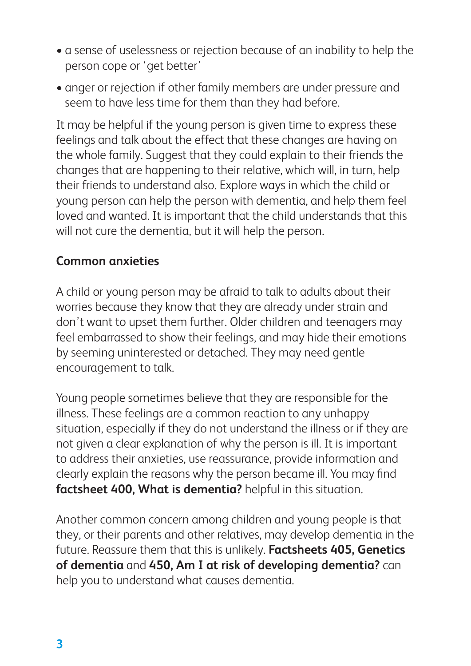- a sense of uselessness or rejection because of an inability to help the person cope or 'get better'
- anger or rejection if other family members are under pressure and seem to have less time for them than they had before.

It may be helpful if the young person is given time to express these feelings and talk about the effect that these changes are having on the whole family. Suggest that they could explain to their friends the changes that are happening to their relative, which will, in turn, help their friends to understand also. Explore ways in which the child or young person can help the person with dementia, and help them feel loved and wanted. It is important that the child understands that this will not cure the dementia, but it will help the person.

### **Common anxieties**

A child or young person may be afraid to talk to adults about their worries because they know that they are already under strain and don't want to upset them further. Older children and teenagers may feel embarrassed to show their feelings, and may hide their emotions by seeming uninterested or detached. They may need gentle encouragement to talk.

Young people sometimes believe that they are responsible for the illness. These feelings are a common reaction to any unhappy situation, especially if they do not understand the illness or if they are not given a clear explanation of why the person is ill. It is important to address their anxieties, use reassurance, provide information and clearly explain the reasons why the person became ill. You may find **factsheet 400, What is dementia?** helpful in this situation.

Another common concern among children and young people is that they, or their parents and other relatives, may develop dementia in the future. Reassure them that this is unlikely. **Factsheets 405, Genetics of dementia** and **450, Am I at risk of developing dementia?** can help you to understand what causes dementia.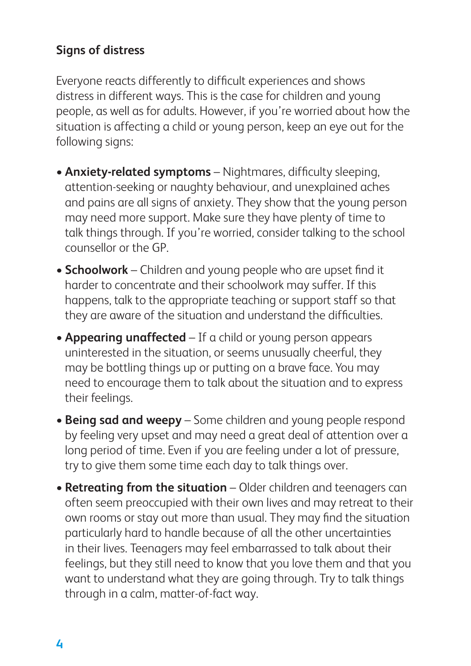## **Signs of distress**

Everyone reacts differently to difficult experiences and shows distress in different ways. This is the case for children and young people, as well as for adults. However, if you're worried about how the situation is affecting a child or young person, keep an eye out for the following signs:

- **• Anxiety-related symptoms** Nightmares, difficulty sleeping, attention-seeking or naughty behaviour, and unexplained aches and pains are all signs of anxiety. They show that the young person may need more support. Make sure they have plenty of time to talk things through. If you're worried, consider talking to the school counsellor or the GP.
- **Schoolwork** Children and young people who are upset find it harder to concentrate and their schoolwork may suffer. If this happens, talk to the appropriate teaching or support staff so that they are aware of the situation and understand the difficulties.
- **Appearing unaffected** If a child or young person appears uninterested in the situation, or seems unusually cheerful, they may be bottling things up or putting on a brave face. You may need to encourage them to talk about the situation and to express their feelings.
- **Being sad and weepy** Some children and young people respond by feeling very upset and may need a great deal of attention over a long period of time. Even if you are feeling under a lot of pressure, try to give them some time each day to talk things over.
- **Retreating from the situation** Older children and teenagers can often seem preoccupied with their own lives and may retreat to their own rooms or stay out more than usual. They may find the situation particularly hard to handle because of all the other uncertainties in their lives. Teenagers may feel embarrassed to talk about their feelings, but they still need to know that you love them and that you want to understand what they are going through. Try to talk things through in a calm, matter-of-fact way.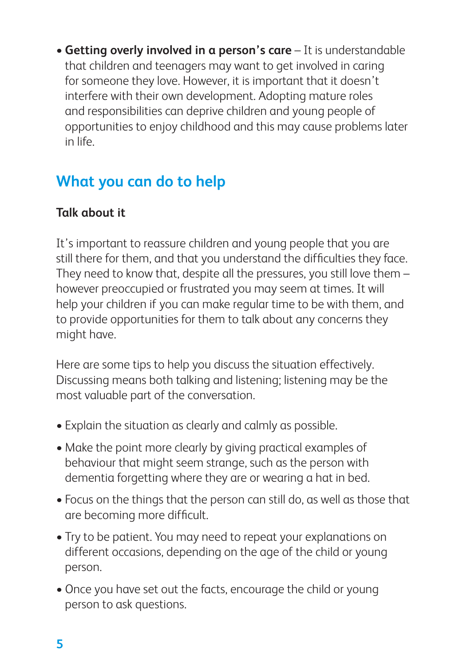• Getting overly involved in a person's care – It is understandable that children and teenagers may want to get involved in caring for someone they love. However, it is important that it doesn't interfere with their own development. Adopting mature roles and responsibilities can deprive children and young people of opportunities to enjoy childhood and this may cause problems later in life.

# **What you can do to help**

# **Talk about it**

It's important to reassure children and young people that you are still there for them, and that you understand the difficulties they face. They need to know that, despite all the pressures, you still love them – however preoccupied or frustrated you may seem at times. It will help your children if you can make regular time to be with them, and to provide opportunities for them to talk about any concerns they might have.

Here are some tips to help you discuss the situation effectively. Discussing means both talking and listening; listening may be the most valuable part of the conversation.

- Explain the situation as clearly and calmly as possible.
- Make the point more clearly by giving practical examples of behaviour that might seem strange, such as the person with dementia forgetting where they are or wearing a hat in bed.
- Focus on the things that the person can still do, as well as those that are becoming more difficult.
- Try to be patient. You may need to repeat your explanations on different occasions, depending on the age of the child or young person.
- Once you have set out the facts, encourage the child or young person to ask questions.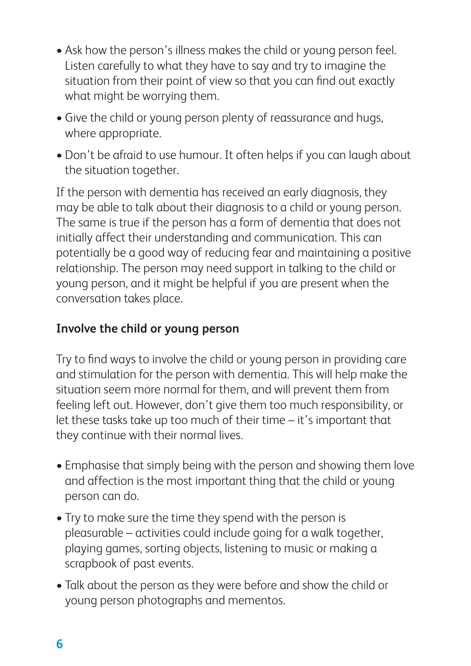- Ask how the person's illness makes the child or young person feel. Listen carefully to what they have to say and try to imagine the situation from their point of view so that you can find out exactly what might be worrying them.
- Give the child or young person plenty of reassurance and hugs, where appropriate.
- Don't be afraid to use humour. It often helps if you can laugh about the situation together.

If the person with dementia has received an early diagnosis, they may be able to talk about their diagnosis to a child or young person. The same is true if the person has a form of dementia that does not initially affect their understanding and communication. This can potentially be a good way of reducing fear and maintaining a positive relationship. The person may need support in talking to the child or young person, and it might be helpful if you are present when the conversation takes place.

# **Involve the child or young person**

Try to find ways to involve the child or young person in providing care and stimulation for the person with dementia. This will help make the situation seem more normal for them, and will prevent them from feeling left out. However, don't give them too much responsibility, or let these tasks take up too much of their time – it's important that they continue with their normal lives.

- Emphasise that simply being with the person and showing them love and affection is the most important thing that the child or young person can do.
- Try to make sure the time they spend with the person is pleasurable – activities could include going for a walk together, playing games, sorting objects, listening to music or making a scrapbook of past events.
- Talk about the person as they were before and show the child or young person photographs and mementos.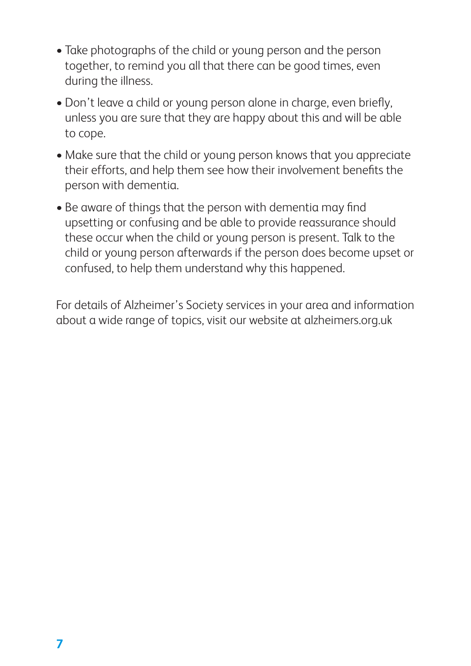- Take photographs of the child or young person and the person together, to remind you all that there can be good times, even during the illness.
- Don't leave a child or young person alone in charge, even briefly, unless you are sure that they are happy about this and will be able to cope.
- Make sure that the child or young person knows that you appreciate their efforts, and help them see how their involvement benefits the person with dementia.
- Be aware of things that the person with dementia may find upsetting or confusing and be able to provide reassurance should these occur when the child or young person is present. Talk to the child or young person afterwards if the person does become upset or confused, to help them understand why this happened.

For details of Alzheimer's Society services in your area and information about a wide range of topics, visit our website at alzheimers.org.uk